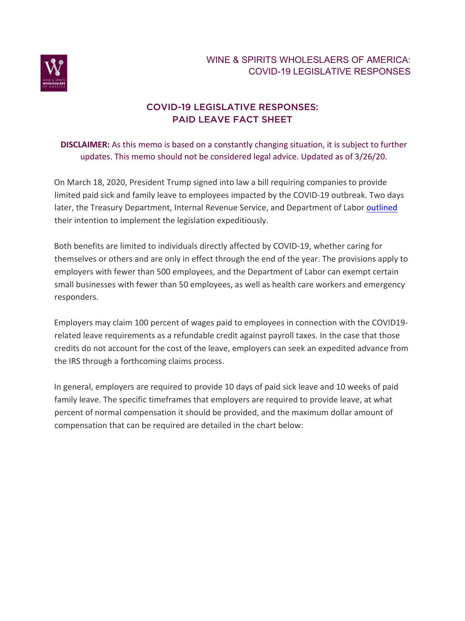

## COVID-19 LEGISLATIVE RESPONSES: PAID LEAVE FACT SHEET

## **DISCLAIMER:** As this memo is based on a constantly changing situation, it is subject to further updates. This memo should not be considered legal advice. Updated as of 3/26/20.

On March 18, 2020, President Trump signed into law a bill requiring companies to provide limited paid sick and family leave to employees impacted by the COVID-19 outbreak. Two days later, the Treasury Department, Internal Revenue Service, and Department of Labor outlined their intention to implement the legislation expeditiously.

Both benefits are limited to individuals directly affected by COVID-19, whether caring for themselves or others and are only in effect through the end of the year. The provisions apply to employers with fewer than 500 employees, and the Department of Labor can exempt certain small businesses with fewer than 50 employees, as well as health care workers and emergency responders.

Employers may claim 100 percent of wages paid to employees in connection with the COVID19 related leave requirements as a refundable credit against payroll taxes. In the case that those credits do not account for the cost of the leave, employers can seek an expedited advance from the IRS through a forthcoming claims process.

In general, employers are required to provide 10 days of paid sick leave and 10 weeks of paid family leave. The specific timeframes that employers are required to provide leave, at what percent of normal compensation it should be provided, and the maximum dollar amount of compensation that can be required are detailed in the chart below: